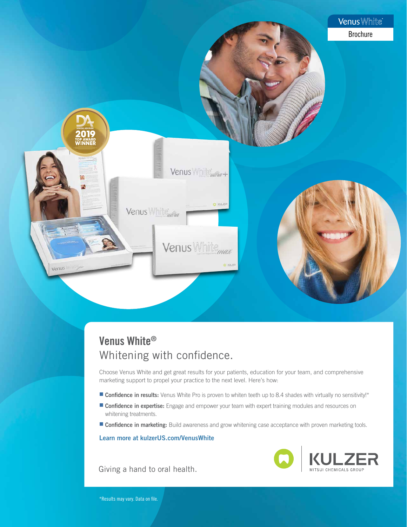

## Venus White® Whitening with confidence.

[Choose Venus White and get great results for your patients, education for your team, and comprehensive](https://www.kulzerus.com/en_us/en_us/dentist_2/products_by_brands_2/venus_white/vw.aspx?utm_medium=referral&utm_source=vwbrochure)  marketing support to propel your practice to the next level. Here's how:

- **Confidence in results:** Venus White Pro is proven to whiten teeth up to 8.4 shades with virtually no sensitivity!\*
- **Confidence in expertise:** Engage and empower your team with expert training modules and resources on whitening treatments.
- **Confidence in marketing:** Build awareness and grow whitening case acceptance with proven marketing tools.

Learn more at kulzerUS.com/VenusWhite

MITSUI CHEMICALS GROUP

Giving a hand to oral health.

\*Results may vary. Data on file.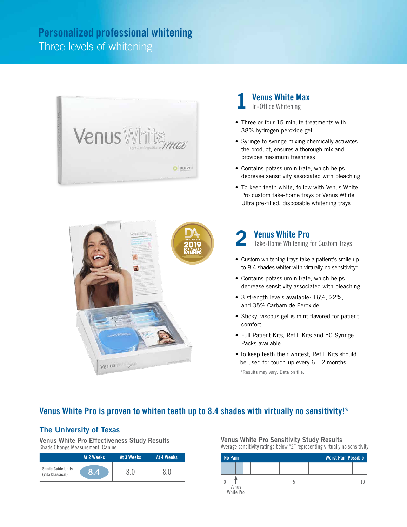## Personalized professional whitening Three levels of whitening



1 Venus White Max In-Office Whitening

- Three or four 15-minute treatments with 38% hydrogen peroxide gel
- Syringe-to-syringe mixing chemically activates the product, ensures a thorough mix and provides maximum freshness
- Contains potassium nitrate, which helps decrease sensitivity associated with bleaching
- To keep teeth white, follow with Venus White Pro custom take-home trays or Venus White Ultra pre-filled, disposable whitening trays



## 2 Venus White Pro

Take-Home Whitening for Custom Trays

- Custom whitening trays take a patient's smile up to 8.4 shades whiter with virtually no sensitivity\*
- Contains potassium nitrate, which helps decrease sensitivity associated with bleaching
- 3 strength levels available: 16%, 22%, and 35% Carbamide Peroxide.
- Sticky, viscous gel is mint flavored for patient comfort
- Full Patient Kits, Refill Kits and 50-Syringe Packs available
- To keep teeth their whitest, Refill Kits should be used for touch-up every 6–12 months

\*Results may vary. Data on file.

## Venus White Pro is proven to whiten teeth up to 8.4 shades with virtually no sensitivity!\*

### The University of Texas

Venus White Pro Effectiveness Study Results Shade Change Measurement, Canine

|                                              | At 2 Weeks | At 3 Weeks | At 4 Weeks |
|----------------------------------------------|------------|------------|------------|
| <b>Shade Guide Units</b><br>(Vita Classical) | /8.4       | 8.0        |            |

Venus White Pro Sensitivity Study Results Average sensitivity ratings below "2" representing virtually no sensitivity

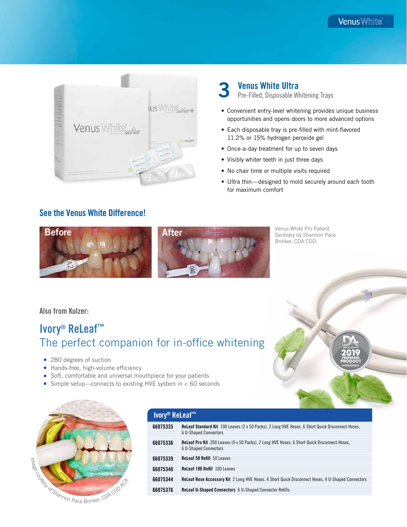

## 3 Venus White Ultra

Pre-Filled, Disposable Whitening Trays

- Convenient entry-level whitening provides unique business opportunities and opens doors to more advanced options
- Each disposable tray is pre-filled with mint-flavored 11.2% or 15% hydrogen peroxide gel
- Once-a-day treatment for up to seven days
- Visibly whiter teeth in just three days
- No chair time or multiple visits required
- Ultra thin—designed to mold securely around each tooth for maximum comfort

### See the Venus White Difference!



Venus White Pro Patient. Dentistry by Shannon Pace Brinker, CDA CDD.

Also from Kulzer:

# Ivory® ReLeaf™ The perfect companion for in-office whitening

- 280 degrees of suction
- Hands-free, high-volume efficiency
- Soft, comfortable and universal mouthpiece for your patients
- Simple setup—connects to existing HVE system in  $<$  60 seconds



| Ivory <sup>®</sup> ReLeaf <sup>™</sup> |                                                                                                                                  |  |
|----------------------------------------|----------------------------------------------------------------------------------------------------------------------------------|--|
| 66075335                               | <b>ReLeaf Standard Kit</b> 100 Leaves (2 x 50 Packs), 2 Long HVE Hoses, 6 Short Quick Disconnect Hoses,<br>6 U-Shaped Connectors |  |
| 66075336                               | <b>Releaf Pro Kit</b> 200 Leaves (4 x 50 Packs), 2 Long HVE Hoses, 6 Short Quick Disconnect Hoses,<br>6 U-Shaped Connectors      |  |
| 66075339                               | <b>ReLeaf 50 Refill</b> 50 Leaves                                                                                                |  |
| 66075340                               | <b>ReLeaf 100 Refill 100 Leaves</b>                                                                                              |  |
| 66075344                               | <b>ReLeaf Hose Accessory Kit</b> 2 Long HVE Hoses, 4 Short Quick Disconnect Hoses, 4 U-Shaped Connectors                         |  |
| 66075376                               | <b>ReLeaf U-Shaped Connectors 6 U-Shaped Connector Refills</b>                                                                   |  |